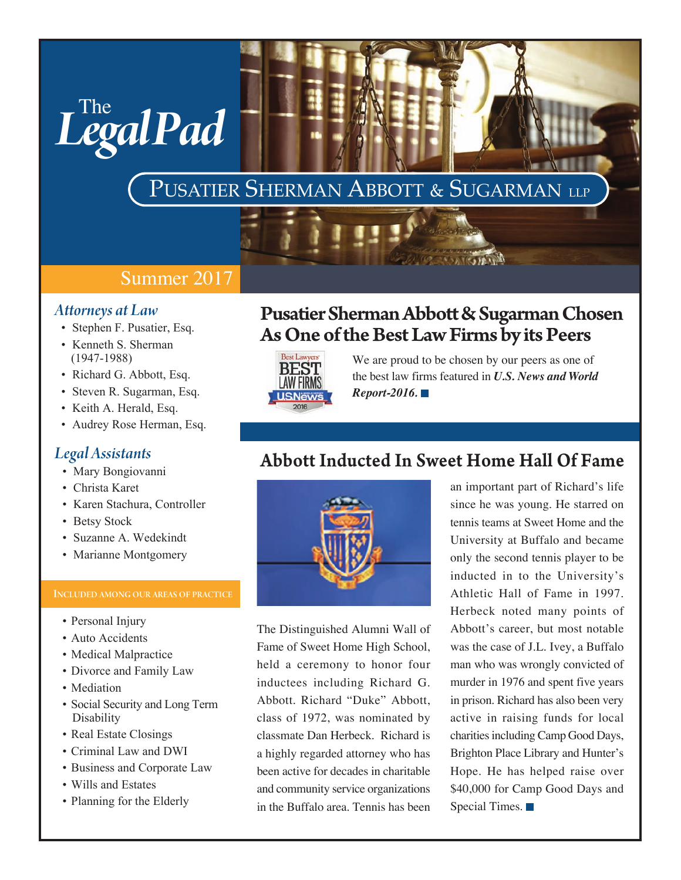# PUSATIER SHERMAN ABBOTT & SUGARMAN LLP

### Summer 2017

### *Attorneys at Law*

• Stephen F. Pusatier, Esq.

 $L$ <sup>The</sup> gal Pad

- Kenneth S. Sherman (1947-1988)
- Richard G. Abbott, Esq.
- Steven R. Sugarman, Esq.
- Keith A. Herald, Esq.
- Audrey Rose Herman, Esq.

### *Legal Assistants*

- Mary Bongiovanni
- Christa Karet
- Karen Stachura, Controller
- Betsy Stock
- Suzanne A. Wedekindt
- Marianne Montgomery

- Personal Injury
- Auto Accidents
- Medical Malpractice
- Divorce and Family Law
- Mediation
- Social Security and Long Term Disability
- Real Estate Closings
- Criminal Law and DWI
- Business and Corporate Law
- Wills and Estates
- Planning for the Elderly

# Pusatier Sherman Abbott & Sugarman Chosen As One of the Best Law Firms by its Peers

A PROVINCIAL A



We are proud to be chosen by our peers as one of the best law firms featured in *U.S. News and World Report-2016.* 

## Abbott Inducted In Sweet Home Hall Of Fame



The Distinguished Alumni Wall of Fame of Sweet Home High School, held a ceremony to honor four inductees including Richard G. Abbott. Richard "Duke" Abbott, class of 1972, was nominated by classmate Dan Herbeck. Richard is a highly regarded attorney who has been active for decades in charitable and community service organizations in the Buffalo area. Tennis has been

an important part of Richard's life since he was young. He starred on tennis teams at Sweet Home and the University at Buffalo and became only the second tennis player to be inducted in to the University's Athletic Hall of Fame in 1997. Herbeck noted many points of Abbott's career, but most notable was the case of J.L. Ivey, a Buffalo man who was wrongly convicted of murder in 1976 and spent five years in prison. Richard has also been very active in raising funds for local charities including Camp Good Days, Brighton Place Library and Hunter's Hope. He has helped raise over \$40,000 for Camp Good Days and Special Times.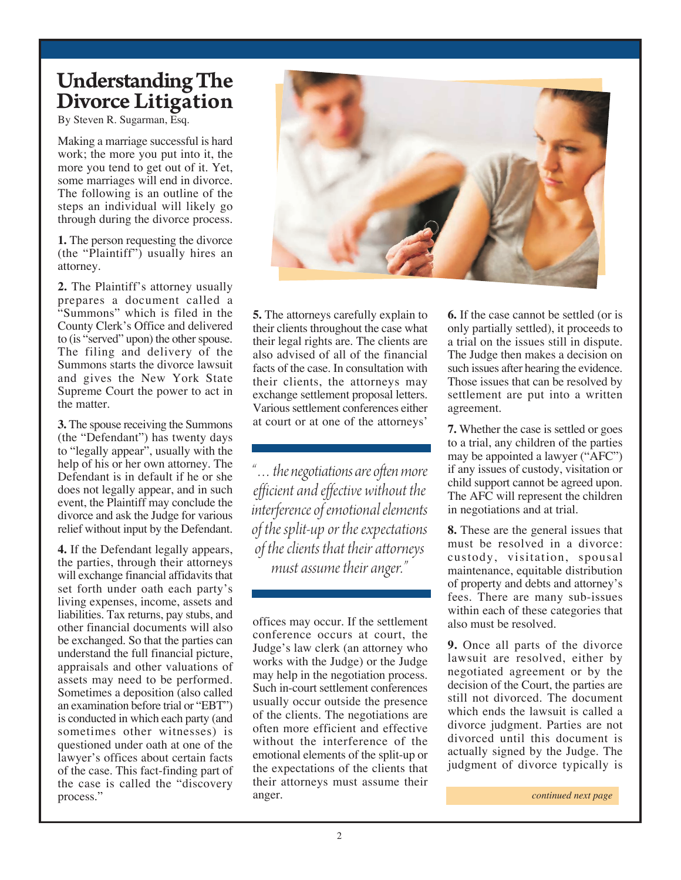# Understanding The Divorce Litigation

By Steven R. Sugarman, Esq.

Making a marriage successful is hard work; the more you put into it, the more you tend to get out of it. Yet, some marriages will end in divorce. The following is an outline of the steps an individual will likely go through during the divorce process.

**1.** The person requesting the divorce (the "Plaintiff") usually hires an attorney.

**2.** The Plaintiff's attorney usually prepares a document called a "Summons" which is filed in the County Clerk's Office and delivered to (is "served" upon) the other spouse. The filing and delivery of the Summons starts the divorce lawsuit and gives the New York State Supreme Court the power to act in the matter.

**3.** The spouse receiving the Summons (the "Defendant") has twenty days to "legally appear", usually with the help of his or her own attorney. The Defendant is in default if he or she does not legally appear, and in such event, the Plaintiff may conclude the divorce and ask the Judge for various relief without input by the Defendant.

**4.** If the Defendant legally appears, the parties, through their attorneys will exchange financial affidavits that set forth under oath each party's living expenses, income, assets and liabilities. Tax returns, pay stubs, and other financial documents will also be exchanged. So that the parties can understand the full financial picture, appraisals and other valuations of assets may need to be performed. Sometimes a deposition (also called an examination before trial or "EBT") is conducted in which each party (and sometimes other witnesses) is questioned under oath at one of the lawyer's offices about certain facts of the case. This fact-finding part of the case is called the "discovery process."

**5.** The attorneys carefully explain to their clients throughout the case what their legal rights are. The clients are also advised of all of the financial facts of the case. In consultation with their clients, the attorneys may exchange settlement proposal letters. Various settlement conferences either at court or at one of the attorneys'

*"…the negotiations are often more efficient and effective without the interference of emotional elements of the split-up or the expectations of the clients that their attorneys must assume their anger."*

offices may occur. If the settlement conference occurs at court, the Judge's law clerk (an attorney who works with the Judge) or the Judge may help in the negotiation process. Such in-court settlement conferences usually occur outside the presence of the clients. The negotiations are often more efficient and effective without the interference of the emotional elements of the split-up or the expectations of the clients that their attorneys must assume their anger.

**6.** If the case cannot be settled (or is only partially settled), it proceeds to a trial on the issues still in dispute. The Judge then makes a decision on such issues after hearing the evidence. Those issues that can be resolved by settlement are put into a written agreement.

**7.** Whether the case is settled or goes to a trial, any children of the parties may be appointed a lawyer ("AFC") if any issues of custody, visitation or child support cannot be agreed upon. The AFC will represent the children in negotiations and at trial.

**8.** These are the general issues that must be resolved in a divorce: custody, visitation, spousal maintenance, equitable distribution of property and debts and attorney's fees. There are many sub-issues within each of these categories that also must be resolved.

**9.** Once all parts of the divorce lawsuit are resolved, either by negotiated agreement or by the decision of the Court, the parties are still not divorced. The document which ends the lawsuit is called a divorce judgment. Parties are not divorced until this document is actually signed by the Judge. The judgment of divorce typically is

*continued next page*

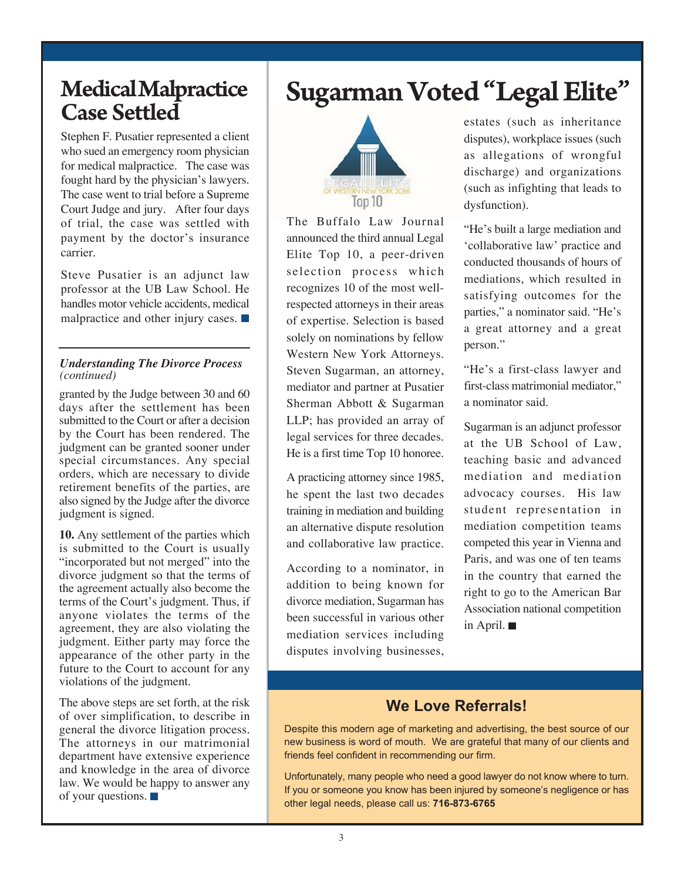# Medical Malpractice Case Settled

Stephen F. Pusatier represented a client who sued an emergency room physician for medical malpractice. The case was fought hard by the physician's lawyers. The case went to trial before a Supreme Court Judge and jury. After four days of trial, the case was settled with payment by the doctor's insurance carrier.

Steve Pusatier is an adjunct law professor at the UB Law School. He handles motor vehicle accidents, medical malpractice and other injury cases.

### *Understanding The Divorce Process (continued)*

granted by the Judge between 30 and 60 days after the settlement has been submitted to the Court or after a decision by the Court has been rendered. The judgment can be granted sooner under special circumstances. Any special orders, which are necessary to divide retirement benefits of the parties, are also signed by the Judge after the divorce judgment is signed.

**10.** Any settlement of the parties which is submitted to the Court is usually "incorporated but not merged" into the divorce judgment so that the terms of the agreement actually also become the terms of the Court's judgment. Thus, if anyone violates the terms of the agreement, they are also violating the judgment. Either party may force the appearance of the other party in the future to the Court to account for any violations of the judgment.

The above steps are set forth, at the risk of over simplification, to describe in general the divorce litigation process. The attorneys in our matrimonial department have extensive experience and knowledge in the area of divorce law. We would be happy to answer any of your questions.

# Sugarman Voted "Legal Elite"



The Buffalo Law Journal announced the third annual Legal Elite Top 10, a peer-driven selection process which recognizes 10 of the most wellrespected attorneys in their areas of expertise. Selection is based solely on nominations by fellow Western New York Attorneys. Steven Sugarman, an attorney, mediator and partner at Pusatier Sherman Abbott & Sugarman LLP; has provided an array of legal services for three decades. He is a first time Top 10 honoree.

A practicing attorney since 1985, he spent the last two decades training in mediation and building an alternative dispute resolution and collaborative law practice.

According to a nominator, in addition to being known for divorce mediation, Sugarman has been successful in various other mediation services including disputes involving businesses,

estates (such as inheritance disputes), workplace issues (such as allegations of wrongful discharge) and organizations (such as infighting that leads to dysfunction).

"He's built a large mediation and 'collaborative law' practice and conducted thousands of hours of mediations, which resulted in satisfying outcomes for the parties," a nominator said. "He's a great attorney and a great person."

"He's a first-class lawyer and first-class matrimonial mediator," a nominator said.

Sugarman is an adjunct professor at the UB School of Law, teaching basic and advanced mediation and mediation advocacy courses. His law student representation in mediation competition teams competed this year in Vienna and Paris, and was one of ten teams in the country that earned the right to go to the American Bar Association national competition in April.

### **We Love Referrals!**

Despite this modern age of marketing and advertising, the best source of our new business is word of mouth. We are grateful that many of our clients and friends feel confident in recommending our firm.

Unfortunately, many people who need a good lawyer do not know where to turn. If you or someone you know has been injured by someone's negligence or has other legal needs, please call us: **716-873-6765**